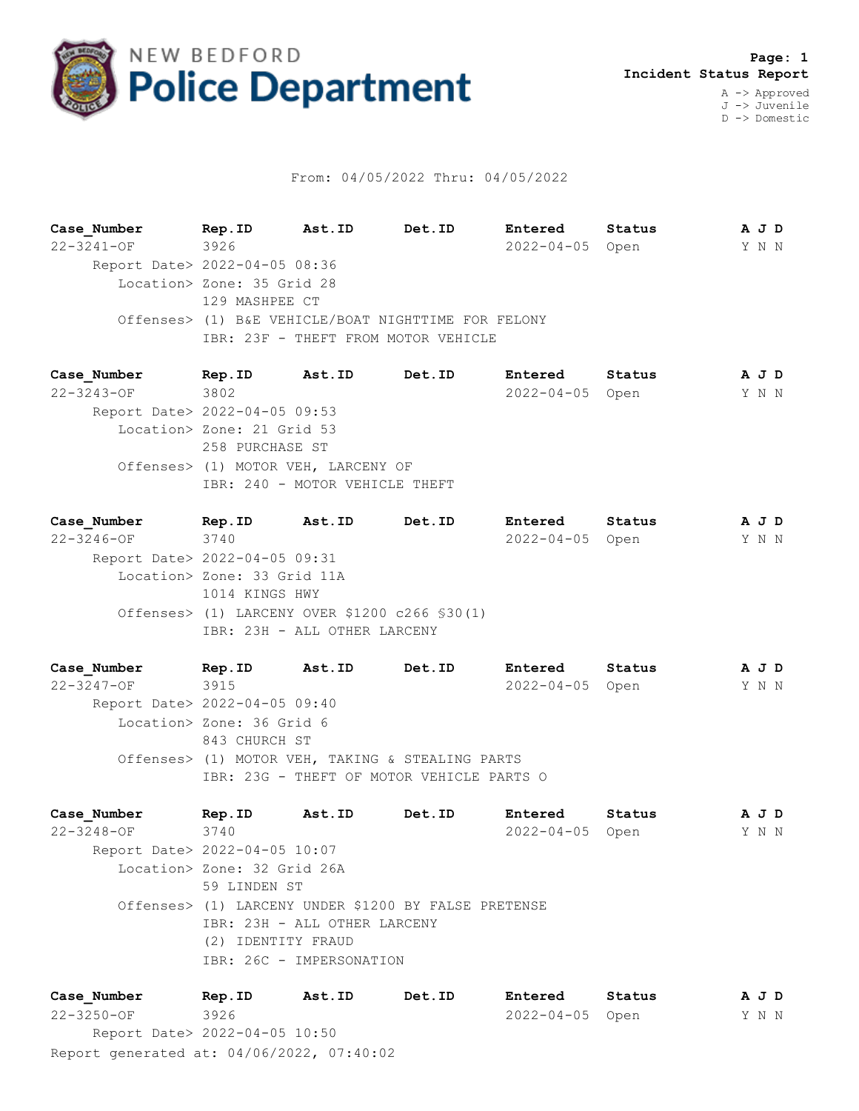

## From: 04/05/2022 Thru: 04/05/2022

**Case\_Number Rep.ID Ast.ID Det.ID Entered Status A J D** 22-3241-OF 3926 2022-04-05 Open Y N N Report Date> 2022-04-05 08:36 Location> Zone: 35 Grid 28 129 MASHPEE CT Offenses> (1) B&E VEHICLE/BOAT NIGHTTIME FOR FELONY IBR: 23F - THEFT FROM MOTOR VEHICLE

**Case\_Number Rep.ID Ast.ID Det.ID Entered Status A J D** 22-3243-OF 3802 2022-04-05 Open Y N N Report Date> 2022-04-05 09:53 Location> Zone: 21 Grid 53 258 PURCHASE ST Offenses> (1) MOTOR VEH, LARCENY OF IBR: 240 - MOTOR VEHICLE THEFT

**Case\_Number Rep.ID Ast.ID Det.ID Entered Status A J D** 22-3246-OF 3740 2022-04-05 Open Y N N Report Date> 2022-04-05 09:31 Location> Zone: 33 Grid 11A 1014 KINGS HWY Offenses> (1) LARCENY OVER \$1200 c266 §30(1) IBR: 23H - ALL OTHER LARCENY

**Case\_Number Rep.ID Ast.ID Det.ID Entered Status A J D** 22-3247-OF 3915 2022-04-05 Open Y N N Report Date> 2022-04-05 09:40 Location> Zone: 36 Grid 6 843 CHURCH ST Offenses> (1) MOTOR VEH, TAKING & STEALING PARTS IBR: 23G - THEFT OF MOTOR VEHICLE PARTS O

**Case\_Number Rep.ID Ast.ID Det.ID Entered Status A J D** 22-3248-OF 3740 2022-04-05 Open Y N N Report Date> 2022-04-05 10:07 Location> Zone: 32 Grid 26A 59 LINDEN ST Offenses> (1) LARCENY UNDER \$1200 BY FALSE PRETENSE IBR: 23H - ALL OTHER LARCENY (2) IDENTITY FRAUD IBR: 26C - IMPERSONATION

Report generated at: 04/06/2022, 07:40:02 **Case\_Number Rep.ID Ast.ID Det.ID Entered Status A J D** 22-3250-OF 3926 2022-04-05 Open Y N N Report Date> 2022-04-05 10:50